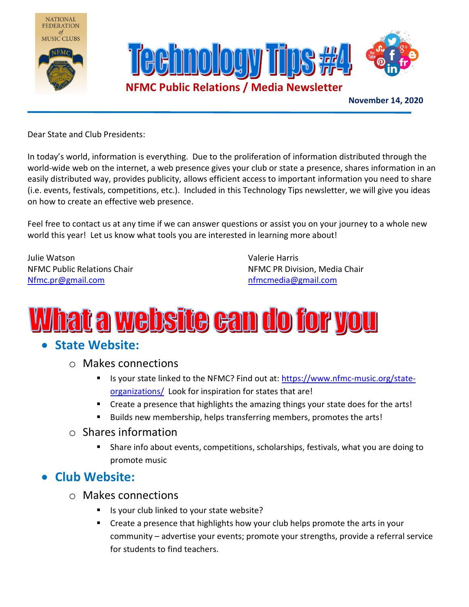





November 14, 2020

Dear State and Club Presidents:

In today's world, information is everything. Due to the proliferation of information distributed through the world-wide web on the internet, a web presence gives your club or state a presence, shares information in an easily distributed way, provides publicity, allows efficient access to important information you need to share (i.e. events, festivals, competitions, etc.). Included in this Technology Tips newsletter, we will give you ideas on how to create an effective web presence.

Feel free to contact us at any time if we can answer questions or assist you on your journey to a whole new world this year! Let us know what tools you are interested in learning more about!

Julie Watson Valerie Harris Nfmc.pr@gmail.com **network** and the new state of the new state of the new state of the new state of the new state of the new state of the new state of the new state of the new state of the new state of the new state of the

NFMC Public Relations Chair NFMC PR Division, Media Chair

## <u>What a website can do for you</u>

## • State Website:

- o Makes connections
	- Is your state linked to the NFMC? Find out at: https://www.nfmc-music.org/stateorganizations/ Look for inspiration for states that are!
	- Create a presence that highlights the amazing things your state does for the arts!
	- Builds new membership, helps transferring members, promotes the arts!

#### o Shares information

 Share info about events, competitions, scholarships, festivals, what you are doing to promote music

## Club Website:

- o Makes connections
	- Is your club linked to your state website?
	- Create a presence that highlights how your club helps promote the arts in your community – advertise your events; promote your strengths, provide a referral service for students to find teachers.